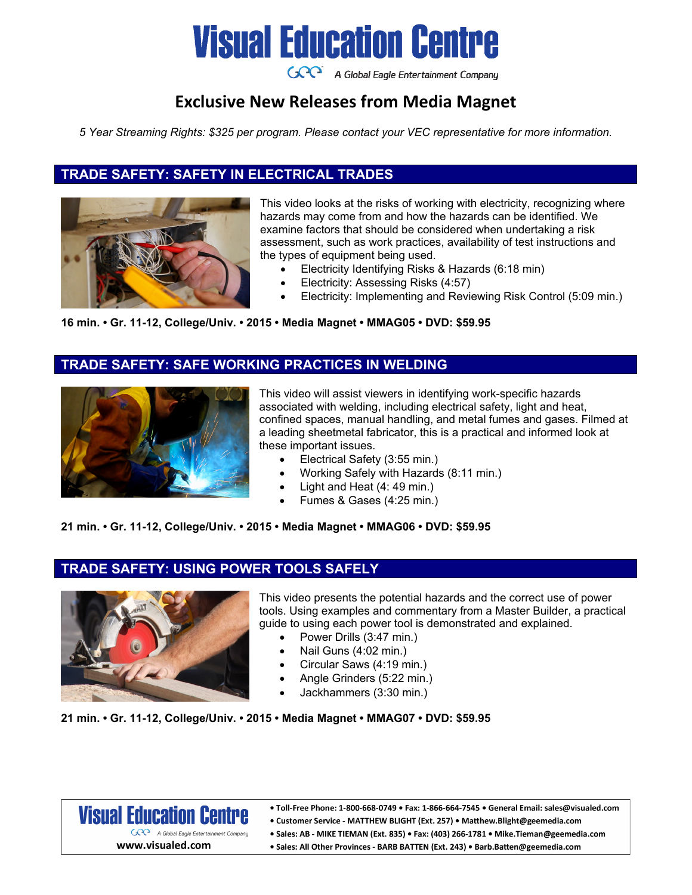

GCC A Global Eagle Entertainment Company

## **Exclusive New Releases from Media Magnet**

*5 Year Streaming Rights: \$325 per program. Please contact your VEC representative for more information.* 

### **TRADE SAFETY: SAFETY IN ELECTRICAL TRADES**



This video looks at the risks of working with electricity, recognizing where hazards may come from and how the hazards can be identified. We examine factors that should be considered when undertaking a risk assessment, such as work practices, availability of test instructions and the types of equipment being used.

- Electricity Identifying Risks & Hazards (6:18 min)
- Electricity: Assessing Risks (4:57)
- Electricity: Implementing and Reviewing Risk Control (5:09 min.)

#### **16 min. • Gr. 11-12, College/Univ. • 2015 • Media Magnet • MMAG05 • DVD: \$59.95**

### **TRADE SAFETY: SAFE WORKING PRACTICES IN WELDING**



This video will assist viewers in identifying work-specific hazards associated with welding, including electrical safety, light and heat, confined spaces, manual handling, and metal fumes and gases. Filmed at a leading sheetmetal fabricator, this is a practical and informed look at these important issues.

- Electrical Safety (3:55 min.)
- Working Safely with Hazards (8:11 min.)
- Light and Heat (4: 49 min.)
- Fumes & Gases (4:25 min.)

**21 min. • Gr. 11-12, College/Univ. • 2015 • Media Magnet • MMAG06 • DVD: \$59.95**

### **TRADE SAFETY: USING POWER TOOLS SAFELY**



This video presents the potential hazards and the correct use of power tools. Using examples and commentary from a Master Builder, a practical guide to using each power tool is demonstrated and explained.

- Power Drills (3:47 min.)
- Nail Guns (4:02 min.)
- Circular Saws (4:19 min.)
- Angle Grinders (5:22 min.)
- Jackhammers (3:30 min.)

**21 min. • Gr. 11-12, College/Univ. • 2015 • Media Magnet • MMAG07 • DVD: \$59.95**



. Toll-Free Phone: 1-800-668-0749 . Fax: 1-866-664-7545 . General Email: sales@visualed.com

- Customer Service MATTHEW BLIGHT (Ext. 257) Matthew.Blight@geemedia.com
- Sales: AB MIKE TIEMAN (Ext. 835) Fax: (403) 266-1781 Mike. Tieman@geemedia.com
	- · Sales: All Other Provinces BARB BATTEN (Ext. 243) · Barb.Batten@geemedia.com